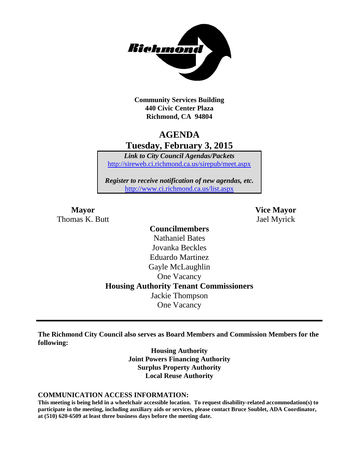

**Community Services Building 440 Civic Center Plaza Richmond, CA 94804**

## **AGENDA Tuesday, February 3, 2015**

*Link to City Council Agendas/Packets* <http://sireweb.ci.richmond.ca.us/sirepub/meet.aspx>

*Register to receive notification of new agendas, etc.* <http://www.ci.richmond.ca.us/list.aspx>

Thomas K. Butt Jael Myrick

**Mayor Vice Mayor**

## **Councilmembers** Nathaniel Bates Jovanka Beckles Eduardo Martinez Gayle McLaughlin One Vacancy **Housing Authority Tenant Commissioners** Jackie Thompson One Vacancy

**The Richmond City Council also serves as Board Members and Commission Members for the following:**

> **Housing Authority Joint Powers Financing Authority Surplus Property Authority Local Reuse Authority**

#### **COMMUNICATION ACCESS INFORMATION:**

**This meeting is being held in a wheelchair accessible location. To request disability-related accommodation(s) to participate in the meeting, including auxiliary aids or services, please contact Bruce Soublet, ADA Coordinator, at (510) 620-6509 at least three business days before the meeting date.**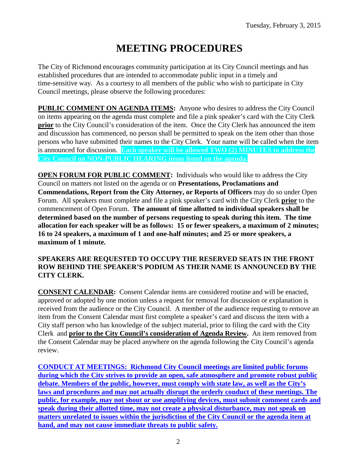# **MEETING PROCEDURES**

The City of Richmond encourages community participation at its City Council meetings and has established procedures that are intended to accommodate public input in a timely and time-sensitive way. As a courtesy to all members of the public who wish to participate in City Council meetings, please observe the following procedures:

**PUBLIC COMMENT ON AGENDA ITEMS:** Anyone who desires to address the City Council on items appearing on the agenda must complete and file a pink speaker's card with the City Clerk **prior** to the City Council's consideration of the item. Once the City Clerk has announced the item and discussion has commenced, no person shall be permitted to speak on the item other than those persons who have submitted their names to the City Clerk. Your name will be called when the item is announced for discussion. **Each speaker will be allowed TWO (2) MINUTES to address the City Council on NON-PUBLIC HEARING items listed on the agenda.**

**OPEN FORUM FOR PUBLIC COMMENT:** Individuals who would like to address the City Council on matters not listed on the agenda or on **Presentations, Proclamations and Commendations, Report from the City Attorney, or Reports of Officers** may do so under Open Forum. All speakers must complete and file a pink speaker's card with the City Clerk **prior** to the commencement of Open Forum. **The amount of time allotted to individual speakers shall be determined based on the number of persons requesting to speak during this item. The time allocation for each speaker will be as follows: 15 or fewer speakers, a maximum of 2 minutes; 16 to 24 speakers, a maximum of 1 and one-half minutes; and 25 or more speakers, a maximum of 1 minute.**

#### **SPEAKERS ARE REQUESTED TO OCCUPY THE RESERVED SEATS IN THE FRONT ROW BEHIND THE SPEAKER'S PODIUM AS THEIR NAME IS ANNOUNCED BY THE CITY CLERK.**

**CONSENT CALENDAR:** Consent Calendar items are considered routine and will be enacted, approved or adopted by one motion unless a request for removal for discussion or explanation is received from the audience or the City Council. A member of the audience requesting to remove an item from the Consent Calendar must first complete a speaker's card and discuss the item with a City staff person who has knowledge of the subject material, prior to filing the card with the City Clerk and **prior to the City Council's consideration of Agenda Review.** An item removed from the Consent Calendar may be placed anywhere on the agenda following the City Council's agenda review.

**CONDUCT AT MEETINGS: Richmond City Council meetings are limited public forums during which the City strives to provide an open, safe atmosphere and promote robust public debate. Members of the public, however, must comply with state law, as well as the City's laws and procedures and may not actually disrupt the orderly conduct of these meetings. The public, for example, may not shout or use amplifying devices, must submit comment cards and speak during their allotted time, may not create a physical disturbance, may not speak on matters unrelated to issues within the jurisdiction of the City Council or the agenda item at hand, and may not cause immediate threats to public safety.**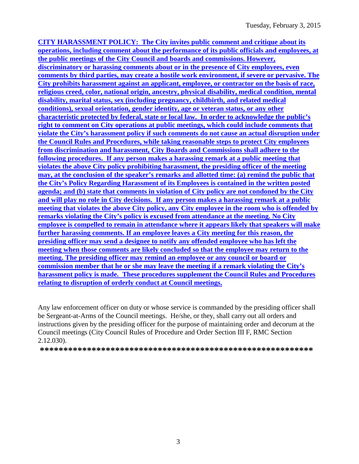**CITY HARASSMENT POLICY: The City invites public comment and critique about its operations, including comment about the performance of its public officials and employees, at the public meetings of the City Council and boards and commissions. However, discriminatory or harassing comments about or in the presence of City employees, even comments by third parties, may create a hostile work environment, if severe or pervasive. The City prohibits harassment against an applicant, employee, or contractor on the basis of race, religious creed, color, national origin, ancestry, physical disability, medical condition, mental disability, marital status, sex (including pregnancy, childbirth, and related medical conditions), sexual orientation, gender identity, age or veteran status, or any other characteristic protected by federal, state or local law. In order to acknowledge the public's right to comment on City operations at public meetings, which could include comments that violate the City's harassment policy if such comments do not cause an actual disruption under the Council Rules and Procedures, while taking reasonable steps to protect City employees from discrimination and harassment, City Boards and Commissions shall adhere to the following procedures. If any person makes a harassing remark at a public meeting that violates the above City policy prohibiting harassment, the presiding officer of the meeting may, at the conclusion of the speaker's remarks and allotted time: (a) remind the public that the City's Policy Regarding Harassment of its Employees is contained in the written posted agenda; and (b) state that comments in violation of City policy are not condoned by the City and will play no role in City decisions. If any person makes a harassing remark at a public meeting that violates the above City policy, any City employee in the room who is offended by remarks violating the City's policy is excused from attendance at the meeting. No City employee is compelled to remain in attendance where it appears likely that speakers will make further harassing comments. If an employee leaves a City meeting for this reason, the presiding officer may send a designee to notify any offended employee who has left the meeting when those comments are likely concluded so that the employee may return to the meeting. The presiding officer may remind an employee or any council or board or commission member that he or she may leave the meeting if a remark violating the City's harassment policy is made. These procedures supplement the Council Rules and Procedures relating to disruption of orderly conduct at Council meetings.**

Any law enforcement officer on duty or whose service is commanded by the presiding officer shall be Sergeant-at-Arms of the Council meetings. He/she, or they, shall carry out all orders and instructions given by the presiding officer for the purpose of maintaining order and decorum at the Council meetings (City Council Rules of Procedure and Order Section III F, RMC Section 2.12.030).

**\*\*\*\*\*\*\*\*\*\*\*\*\*\*\*\*\*\*\*\*\*\*\*\*\*\*\*\*\*\*\*\*\*\*\*\*\*\*\*\*\*\*\*\*\*\*\*\*\*\*\*\*\*\*\*\*\*\***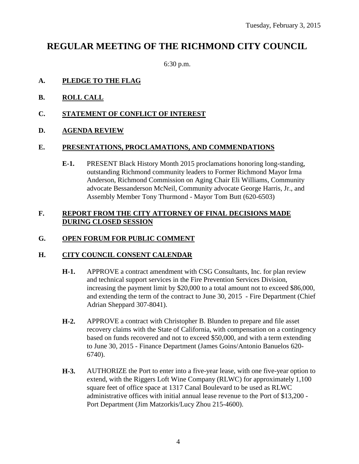# **REGULAR MEETING OF THE RICHMOND CITY COUNCIL**

6:30 p.m.

#### **A. PLEDGE TO THE FLAG**

- **B. ROLL CALL**
- **C. STATEMENT OF CONFLICT OF INTEREST**
- **D. AGENDA REVIEW**

#### **E. PRESENTATIONS, PROCLAMATIONS, AND COMMENDATIONS**

**E-1.** PRESENT Black History Month 2015 proclamations honoring long-standing, outstanding Richmond community leaders to Former Richmond Mayor Irma Anderson, Richmond Commission on Aging Chair Eli Williams, Community advocate Bessanderson McNeil, Community advocate George Harris, Jr., and Assembly Member Tony Thurmond - Mayor Tom Butt (620-6503)

#### **F. REPORT FROM THE CITY ATTORNEY OF FINAL DECISIONS MADE DURING CLOSED SESSION**

#### **G. OPEN FORUM FOR PUBLIC COMMENT**

#### **H. CITY COUNCIL CONSENT CALENDAR**

- **H-1.** APPROVE a contract amendment with CSG Consultants, Inc. for plan review and technical support services in the Fire Prevention Services Division, increasing the payment limit by \$20,000 to a total amount not to exceed \$86,000, and extending the term of the contract to June 30, 2015 - Fire Department (Chief Adrian Sheppard 307-8041).
- **H-2.** APPROVE a contract with Christopher B. Blunden to prepare and file asset recovery claims with the State of California, with compensation on a contingency based on funds recovered and not to exceed \$50,000, and with a term extending to June 30, 2015 - Finance Department (James Goins/Antonio Banuelos 620- 6740).
- **H-3.** AUTHORIZE the Port to enter into a five-year lease, with one five-year option to extend, with the Riggers Loft Wine Company (RLWC) for approximately 1,100 square feet of office space at 1317 Canal Boulevard to be used as RLWC administrative offices with initial annual lease revenue to the Port of \$13,200 - Port Department (Jim Matzorkis/Lucy Zhou 215-4600).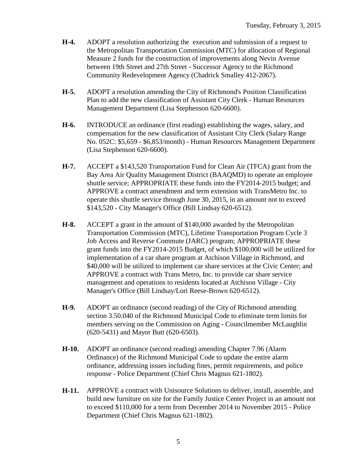- **H-4.** ADOPT a resolution authorizing the execution and submission of a request to the Metropolitan Transportation Commission (MTC) for allocation of Regional Measure 2 funds for the construction of improvements along Nevin Avenue between 19th Street and 27th Street - Successor Agency to the Richmond Community Redevelopment Agency (Chadrick Smalley 412-2067).
- **H-5.** ADOPT a resolution amending the City of Richmond's Position Classification Plan to add the new classification of Assistant City Clerk - Human Resources Management Department (Lisa Stephenson 620-6600).
- **H-6.** INTRODUCE an ordinance (first reading) establishing the wages, salary, and compensation for the new classification of Assistant City Clerk (Salary Range No. 052C: \$5,659 - \$6,853/month) - Human Resources Management Department (Lisa Stephenson 620-6600).
- **H-7.** ACCEPT a \$143,520 Transportation Fund for Clean Air (TFCA) grant from the Bay Area Air Quality Management District (BAAQMD) to operate an employee shuttle service; APPROPRIATE these funds into the FY2014-2015 budget; and APPROVE a contract amendment and term extension with TransMetro Inc. to operate this shuttle service through June 30, 2015, in an amount not to exceed \$143,520 - City Manager's Office (Bill Lindsay 620-6512).
- **H-8.** ACCEPT a grant in the amount of \$140,000 awarded by the Metropolitan Transportation Commission (MTC), Lifetime Transportation Program Cycle 3 Job Access and Reverse Commute (JARC) program; APPROPRIATE these grant funds into the FY2014-2015 Budget, of which \$100,000 will be utilized for implementation of a car share program at Atchison Village in Richmond, and \$40,000 will be utilized to implement car share services at the Civic Center; and APPROVE a contract with Trans Metro, Inc. to provide car share service management and operations to residents located at Atchison Village - City Manager's Office (Bill Lindsay/Lori Reese-Brown 620-6512).
- **H-9.** ADOPT an ordinance (second reading) of the City of Richmond amending section 3.50.040 of the Richmond Municipal Code to eliminate term limits for members serving on the Commission on Aging - Councilmember McLaughlin (620-5431) and Mayor Butt (620-6503).
- **H-10.** ADOPT an ordinance (second reading) amending Chapter 7.96 (Alarm Ordinance) of the Richmond Municipal Code to update the entire alarm ordinance, addressing issues including fines, permit requirements, and police response - Police Department (Chief Chris Magnus 621-1802).
- **H-11.** APPROVE a contract with Unisource Solutions to deliver, install, assemble, and build new furniture on site for the Family Justice Center Project in an amount not to exceed \$110,000 for a term from December 2014 to November 2015 - Police Department (Chief Chris Magnus 621-1802).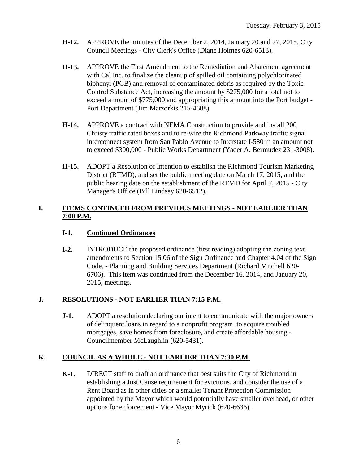- **H-12.** APPROVE the minutes of the December 2, 2014, January 20 and 27, 2015, City Council Meetings - City Clerk's Office (Diane Holmes 620-6513).
- **H-13.** APPROVE the First Amendment to the Remediation and Abatement agreement with Cal Inc. to finalize the cleanup of spilled oil containing polychlorinated biphenyl (PCB) and removal of contaminated debris as required by the Toxic Control Substance Act, increasing the amount by \$275,000 for a total not to exceed amount of \$775,000 and appropriating this amount into the Port budget - Port Department (Jim Matzorkis 215-4608).
- **H-14.** APPROVE a contract with NEMA Construction to provide and install 200 Christy traffic rated boxes and to re-wire the Richmond Parkway traffic signal interconnect system from San Pablo Avenue to Interstate I-580 in an amount not to exceed \$300,000 - Public Works Department (Yader A. Bermudez 231-3008).
- **H-15.** ADOPT a Resolution of Intention to establish the Richmond Tourism Marketing District (RTMD), and set the public meeting date on March 17, 2015, and the public hearing date on the establishment of the RTMD for April 7, 2015 - City Manager's Office (Bill Lindsay 620-6512).

#### **I. ITEMS CONTINUED FROM PREVIOUS MEETINGS - NOT EARLIER THAN 7:00 P.M.**

#### **I-1. Continued Ordinances**

**I-2.** INTRODUCE the proposed ordinance (first reading) adopting the zoning text amendments to Section 15.06 of the Sign Ordinance and Chapter 4.04 of the Sign Code. - Planning and Building Services Department (Richard Mitchell 620- 6706). This item was continued from the December 16, 2014, and January 20, 2015, meetings.

## **J. RESOLUTIONS - NOT EARLIER THAN 7:15 P.M.**

**J-1.** ADOPT a resolution declaring our intent to communicate with the major owners of delinquent loans in regard to a nonprofit program to acquire troubled mortgages, save homes from foreclosure, and create affordable housing - Councilmember McLaughlin (620-5431).

## **K. COUNCIL AS A WHOLE - NOT EARLIER THAN 7:30 P.M.**

**K-1.** DIRECT staff to draft an ordinance that best suits the City of Richmond in establishing a Just Cause requirement for evictions, and consider the use of a Rent Board as in other cities or a smaller Tenant Protection Commission appointed by the Mayor which would potentially have smaller overhead, or other options for enforcement - Vice Mayor Myrick (620-6636).